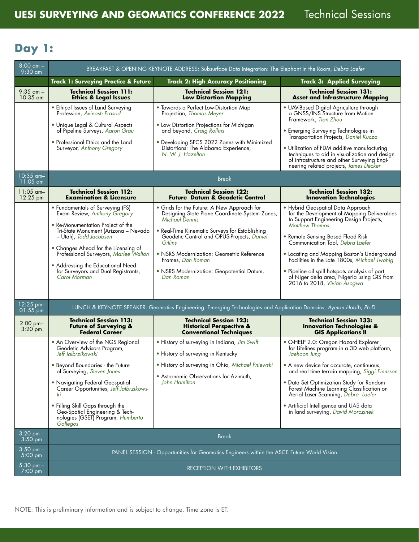## **Day 1:**

| $8:00 \, \text{am} -$<br>$9:30$ am | BREAKFAST & OPENING KEYNOTE ADDRESS: Subsurface Data Integration: The Elephant In the Room, Debra Laefer                                                                                                                                                                                                                                                            |                                                                                                                                                                                                                                                                                                                                                       |                                                                                                                                                                                                                                                                                                                                                                                                                                                              |  |
|------------------------------------|---------------------------------------------------------------------------------------------------------------------------------------------------------------------------------------------------------------------------------------------------------------------------------------------------------------------------------------------------------------------|-------------------------------------------------------------------------------------------------------------------------------------------------------------------------------------------------------------------------------------------------------------------------------------------------------------------------------------------------------|--------------------------------------------------------------------------------------------------------------------------------------------------------------------------------------------------------------------------------------------------------------------------------------------------------------------------------------------------------------------------------------------------------------------------------------------------------------|--|
|                                    | <b>Track 1: Surveying Practice &amp; Future</b>                                                                                                                                                                                                                                                                                                                     | <b>Track 2: High Accuracy Positioning</b>                                                                                                                                                                                                                                                                                                             | <b>Track 3: Applied Surveying</b>                                                                                                                                                                                                                                                                                                                                                                                                                            |  |
| $9:35$ am $-$<br>$10:35$ am        | <b>Technical Session 111:</b><br><b>Ethics &amp; Legal Issues</b>                                                                                                                                                                                                                                                                                                   | <b>Technical Session 121:</b><br><b>Low Distortion Mapping</b>                                                                                                                                                                                                                                                                                        | <b>Technical Session 131:</b><br><b>Asset and Infrastructure Mapping</b>                                                                                                                                                                                                                                                                                                                                                                                     |  |
|                                    | • Ethical Issues of Land Surveying<br>Profession, Avinash Prasad<br>• Unique Legal & Cultural Aspects<br>of Pipeline Surveys, Aaron Grau<br>• Professional Ethics and the Land<br>Surveyor, Anthony Gregory                                                                                                                                                         | . Towards a Perfect Low-Distortion Map<br>Projection, Thomas Meyer<br>• Low Distortion Projections for Michigan<br>and beyond, Craig Rollins<br>• Developing SPCS 2022 Zones with Minimized<br>Distortions: The Alabama Experience,<br>N. W. J. Hazelton                                                                                              | · UAV-Based Digital Agriculture through<br>a GNSS/INS Structure from Motion<br>Framework, Tian Zhou<br>• Emerging Surveying Technologies in<br>Transportation Projects, Daniel Kucza<br>• Utilization of FDM additive manufacturing<br>techniques to aid in visualization and design<br>of infrastructure and other Surveying Engi-<br>neering related projects, James Decker                                                                                |  |
| $10:35$ am-<br>$11:05$ am          | <b>Break</b>                                                                                                                                                                                                                                                                                                                                                        |                                                                                                                                                                                                                                                                                                                                                       |                                                                                                                                                                                                                                                                                                                                                                                                                                                              |  |
| $11:05$ am-<br>$12:25$ pm          | <b>Technical Session 112:</b><br><b>Examination &amp; Licensure</b>                                                                                                                                                                                                                                                                                                 | <b>Technical Session 122:</b><br><b>Future Datum &amp; Geodetic Control</b>                                                                                                                                                                                                                                                                           | <b>Technical Session 132:</b><br><b>Innovation Technologies</b>                                                                                                                                                                                                                                                                                                                                                                                              |  |
|                                    | • Fundamentals of Surveying (FS)<br>Exam Review, Anthony Gregory<br>• Re-Monumentation Project of the<br>Tri-State Monument (Arizona - Nevada<br>- Utah), Todd Jacobsen<br>• Changes Ahead for the Licensing of<br>Professional Surveyors, Marlee Walton<br>• Addressing the Educational Need<br>for Surveyors and Dual Registrants,<br>Carol Morman                | • Grids for the Future: A New Approach for<br>Designing State Plane Coordinate System Zones,<br>Michael Dennis<br>• Real-Time Kinematic Surveys for Establishing<br>Geodetic Control and OPÚS-Projects, Daniel<br>Gillins<br>• NSRS Modernization: Geometric Reference<br>Frames, Dan Roman<br>• NSRS Modernization: Geopotential Datum,<br>Dan Roman | · Hybrid Geospatial Data Approach<br>for the Development of Mapping Deliverables<br>to Support Engineering Design Projects,<br><b>Matthew Thomas</b><br>• Remote Sensing Based Flood Risk<br>Communication Tool, Debra Laefer<br>• Locating and Mapping Boston's Underground<br>Facilities in the Late 1800s, Michael Twohig<br>• Pipeline oil spill hotspots analysis of part<br>of Niger delta area, Nigeria using GIS from<br>2016 to 2018, Vivian Asogwa |  |
| $12:25$ pm-<br>$01:55$ pm          | LUNCH & KEYNOTE SPEAKER: Geomatics Engineering: Emerging Technologies and Application Domains, Ayman Habib, Ph.D.                                                                                                                                                                                                                                                   |                                                                                                                                                                                                                                                                                                                                                       |                                                                                                                                                                                                                                                                                                                                                                                                                                                              |  |
| $2:00$ pm-<br>$3:20$ pm            | <b>Technical Session 113:</b><br><b>Future of Surveying &amp;</b><br><b>Federal Career</b>                                                                                                                                                                                                                                                                          | <b>Technical Session 123:</b><br><b>Historical Perspective &amp;</b><br><b>Conventional Techniques</b>                                                                                                                                                                                                                                                | <b>Technical Session 133:</b><br><b>Innovation Technologies &amp;</b><br><b>GIS Applications II</b>                                                                                                                                                                                                                                                                                                                                                          |  |
|                                    | • An Overview of the NGS Regional<br>Geodetic Advisors Program,<br>Jeff Jalbrzikowski<br>• Beyond Boundaries - the Future<br>of Surveying, Steven Jones<br>• Navigating Federal Geospatial<br>Career Opportunities, Jeff Jalbrzikows-<br>ki<br>• Filling Skill Gaps through the<br>Geo-Spatial Engineering & Tech-<br>nologies (GSET) Program, Humberto<br>Gallegos | • History of surveying in Indiana, Jim Swift<br>• History of surveying in Kentucky<br>· History of surveying in Ohio, Michael Pniewski<br>• Astronomic Observations for Azimuth,<br>John Hamilton                                                                                                                                                     | • O-HELP 2.0: Oregon Hazard Explorer<br>for Lifelines program in a 3D web platform,<br>Jaehoon Jung<br>• A new device for accurate, continuous,<br>and real time terrain mapping, Siggi Finnsson<br>• Data Set Optimization Study for Random<br>Forest Machine Learning Classification on<br>Aerial Laser Scanning, Debra Laefer<br>• Artificial Intelligence and UAS data<br>in land surveying, David Morczinek                                             |  |
| $3:20$ pm $-$<br>$3:50$ pm         | <b>Break</b>                                                                                                                                                                                                                                                                                                                                                        |                                                                                                                                                                                                                                                                                                                                                       |                                                                                                                                                                                                                                                                                                                                                                                                                                                              |  |
| $3:50$ pm $-$<br>$5:00$ pm         | PANEL SESSION - Opportunities for Geomatics Engineers within the ASCE Future World Vision                                                                                                                                                                                                                                                                           |                                                                                                                                                                                                                                                                                                                                                       |                                                                                                                                                                                                                                                                                                                                                                                                                                                              |  |
| $5:30$ pm $-$<br>$7:00$ pm         | <b>RECEPTION WITH EXHIBITORS</b>                                                                                                                                                                                                                                                                                                                                    |                                                                                                                                                                                                                                                                                                                                                       |                                                                                                                                                                                                                                                                                                                                                                                                                                                              |  |

NOTE: This is preliminary information and is subject to change. Time zone is ET.